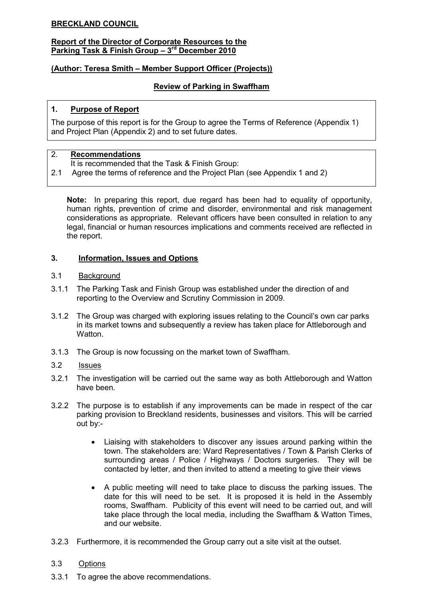## BRECKLAND COUNCIL

#### Report of the Director of Corporate Resources to the Parking Task & Finish Group - 3rd December 2010

## (Author: Teresa Smith – Member Support Officer (Projects))

### Review of Parking in Swaffham

### 1. Purpose of Report

The purpose of this report is for the Group to agree the Terms of Reference (Appendix 1) and Project Plan (Appendix 2) and to set future dates.

### 2. Recommendations

- It is recommended that the Task & Finish Group:
- 2.1 Agree the terms of reference and the Project Plan (see Appendix 1 and 2)

Note: In preparing this report, due regard has been had to equality of opportunity, human rights, prevention of crime and disorder, environmental and risk management considerations as appropriate. Relevant officers have been consulted in relation to any legal, financial or human resources implications and comments received are reflected in the report.

### 3. Information, Issues and Options

### 3.1 Background

- 3.1.1 The Parking Task and Finish Group was established under the direction of and reporting to the Overview and Scrutiny Commission in 2009.
- 3.1.2 The Group was charged with exploring issues relating to the Council's own car parks in its market towns and subsequently a review has taken place for Attleborough and Watton
- 3.1.3 The Group is now focussing on the market town of Swaffham.

### 3.2 Issues

- 3.2.1 The investigation will be carried out the same way as both Attleborough and Watton have been.
- 3.2.2 The purpose is to establish if any improvements can be made in respect of the car parking provision to Breckland residents, businesses and visitors. This will be carried out by:-
	- Liaising with stakeholders to discover any issues around parking within the town. The stakeholders are: Ward Representatives / Town & Parish Clerks of surrounding areas / Police / Highways / Doctors surgeries. They will be contacted by letter, and then invited to attend a meeting to give their views
	- A public meeting will need to take place to discuss the parking issues. The date for this will need to be set. It is proposed it is held in the Assembly rooms, Swaffham. Publicity of this event will need to be carried out, and will take place through the local media, including the Swaffham & Watton Times, and our website.
- 3.2.3 Furthermore, it is recommended the Group carry out a site visit at the outset.

### 3.3 Options

3.3.1 To agree the above recommendations.